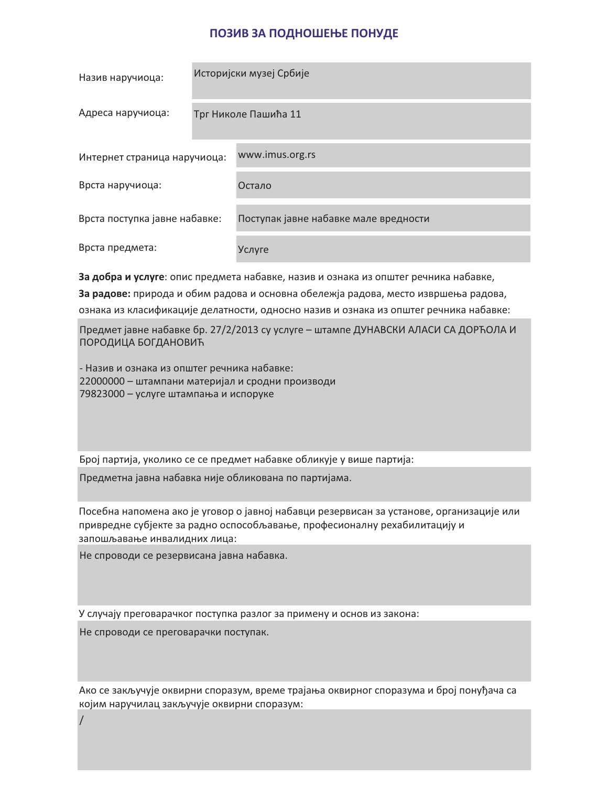## ПОЗИВ ЗА ПОДНОШЕЊЕ ПОНУДЕ

| Назив наручиоца:              | Историјски музеј Србије |                                       |
|-------------------------------|-------------------------|---------------------------------------|
| Адреса наручиоца:             | Трг Николе Пашића 11    |                                       |
| Интернет страница наручиоца:  |                         | www.imus.org.rs                       |
| Врста наручиоца:              |                         | Остало                                |
| Врста поступка јавне набавке: |                         | Поступак јавне набавке мале вредности |
| Врста предмета:               |                         | Услуге                                |

За добра и услуге: опис предмета набавке, назив и ознака из општег речника набавке, За радове: природа и обим радова и основна обележја радова, место извршења радова, ознака из класификације делатности, односно назив и ознака из општег речника набавке:

Предмет јавне набавке бр. 27/2/2013 су услуге - штампе ДУНАВСКИ АЛАСИ СА ДОРЋОЛА И ПОРОДИЦА БОГДАНОВИЋ

- Назив и ознака из општег речника набавке: 22000000 - штампани материјал и сродни производи 79823000 - услуге штампања и испоруке

Број партија, уколико се се предмет набавке обликује у више партија:

Предметна јавна набавка није обликована по партијама.

Посебна напомена ако је уговор о јавној набавци резервисан за установе, организације или привредне субјекте за радно оспособљавање, професионалну рехабилитацију и запошљавање инвалидних лица:

Не спроводи се резервисана јавна набавка.

У случају преговарачког поступка разлог за примену и основ из закона:

Не спроводи се преговарачки поступак.

Ако се закључује оквирни споразум, време трајања оквирног споразума и број понуђача са којим наручилац закључује оквирни споразум: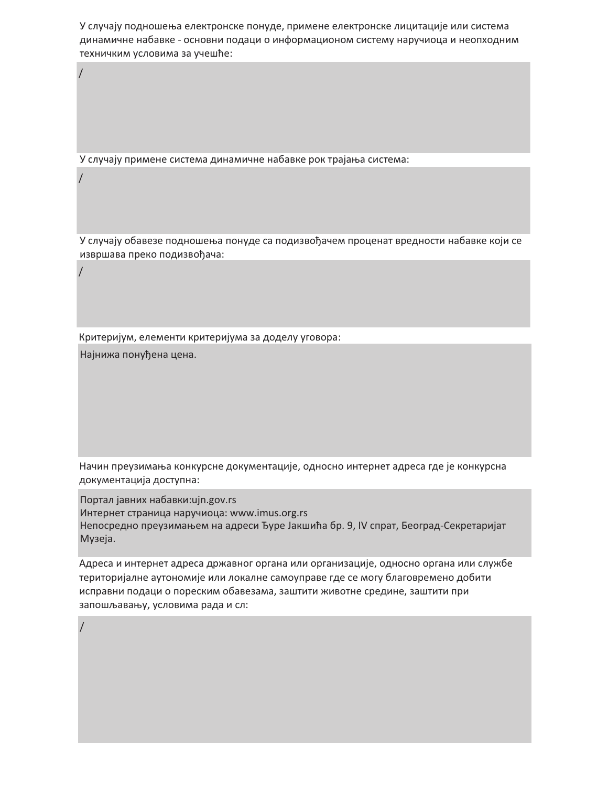У случају подношења електронске понуде, примене електронске лицитације или система динамичне набавке - основни подаци о информационом систему наручиоца и неопходним техничким условима за учешће:

У случају примене система динамичне набавке рок трајања система:

У случају обавезе подношења понуде са подизвођачем проценат вредности набавке који се извршава преко подизвођача:

Критеријум, елементи критеријума за доделу уговора:

Најнижа понуђена цена.

Начин преузимања конкурсне документације, односно интернет адреса где је конкурсна документација доступна:

Портал јавних набавки: ujn.gov.rs

Интернет страница наручиоца: www.imus.org.rs Непосредно преузимањем на адреси Ђуре Јакшића бр. 9, IV спрат, Београд-Секретаријат Музеја.

Адреса и интернет адреса државног органа или организације, односно органа или службе територијалне аутономије или локалне самоуправе где се могу благовремено добити исправни подаци о пореским обавезама, заштити животне средине, заштити при запошљавању, условима рада и сл: